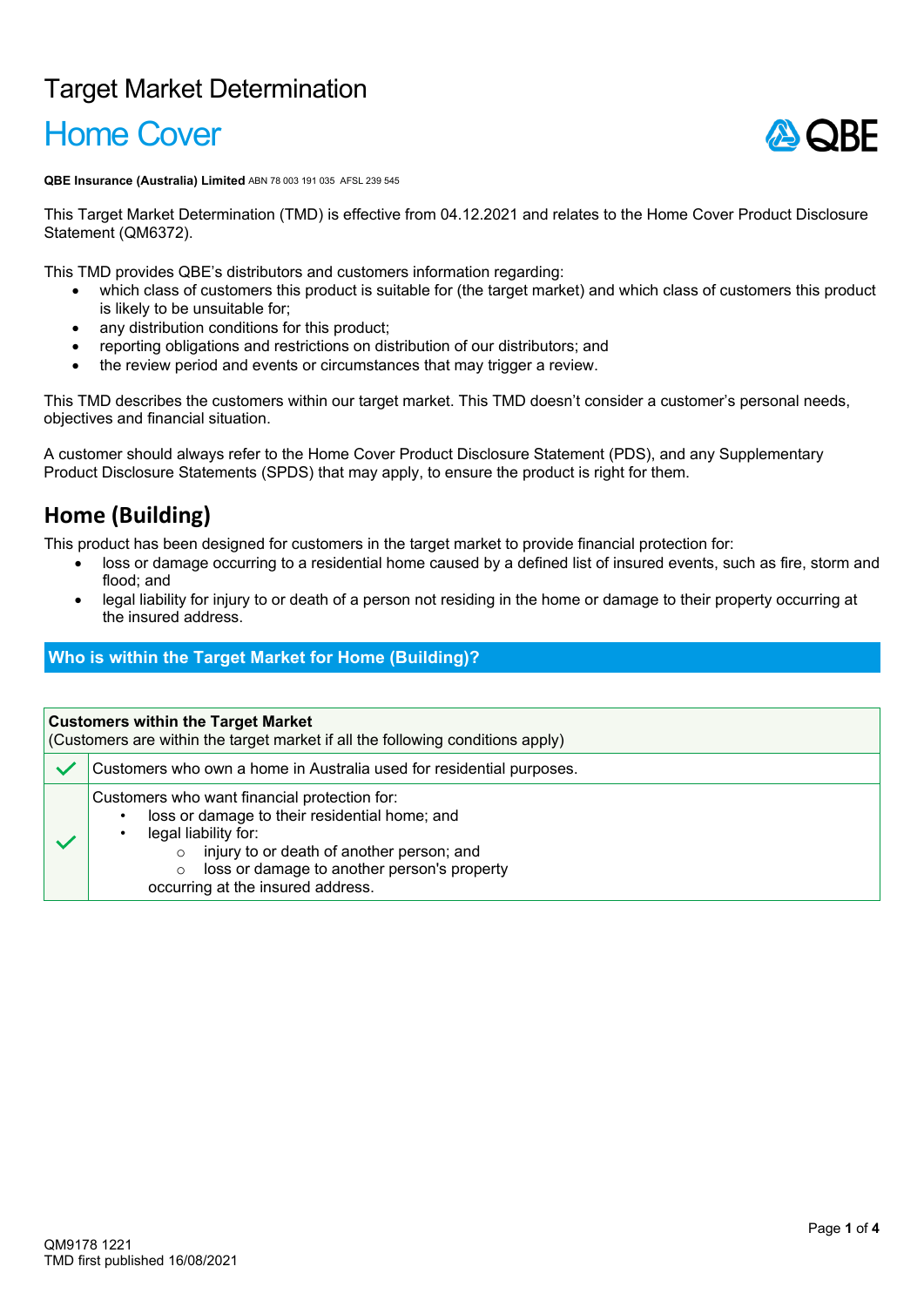## Target Market Determination

# Home Cover



**QBE Insurance (Australia) Limited** ABN 78 003 191 035 AFSL 239 545

This Target Market Determination (TMD) is effective from 04.12.2021 and relates to the Home Cover Product Disclosure Statement (QM6372).

This TMD provides QBE's distributors and customers information regarding:

- which class of customers this product is suitable for (the target market) and which class of customers this product is likely to be unsuitable for;
- any distribution conditions for this product;
- reporting obligations and restrictions on distribution of our distributors; and
- the review period and events or circumstances that may trigger a review.

This TMD describes the customers within our target market. This TMD doesn't consider a customer's personal needs, objectives and financial situation.

A customer should always refer to the Home Cover Product Disclosure Statement (PDS), and any Supplementary Product Disclosure Statements (SPDS) that may apply, to ensure the product is right for them.

### **Home (Building)**

This product has been designed for customers in the target market to provide financial protection for:

- loss or damage occurring to a residential home caused by a defined list of insured events, such as fire, storm and flood; and
- legal liability for injury to or death of a person not residing in the home or damage to their property occurring at the insured address.

#### **Who is within the Target Market for Home (Building)?**

| <b>Customers within the Target Market</b><br>(Customers are within the target market if all the following conditions apply) |                                                                                                                                                                                                                                                                                   |  |
|-----------------------------------------------------------------------------------------------------------------------------|-----------------------------------------------------------------------------------------------------------------------------------------------------------------------------------------------------------------------------------------------------------------------------------|--|
|                                                                                                                             | Customers who own a home in Australia used for residential purposes.                                                                                                                                                                                                              |  |
|                                                                                                                             | Customers who want financial protection for:<br>loss or damage to their residential home; and<br>٠<br>legal liability for:<br>injury to or death of another person; and<br>$\circ$<br>loss or damage to another person's property<br>$\circ$<br>occurring at the insured address. |  |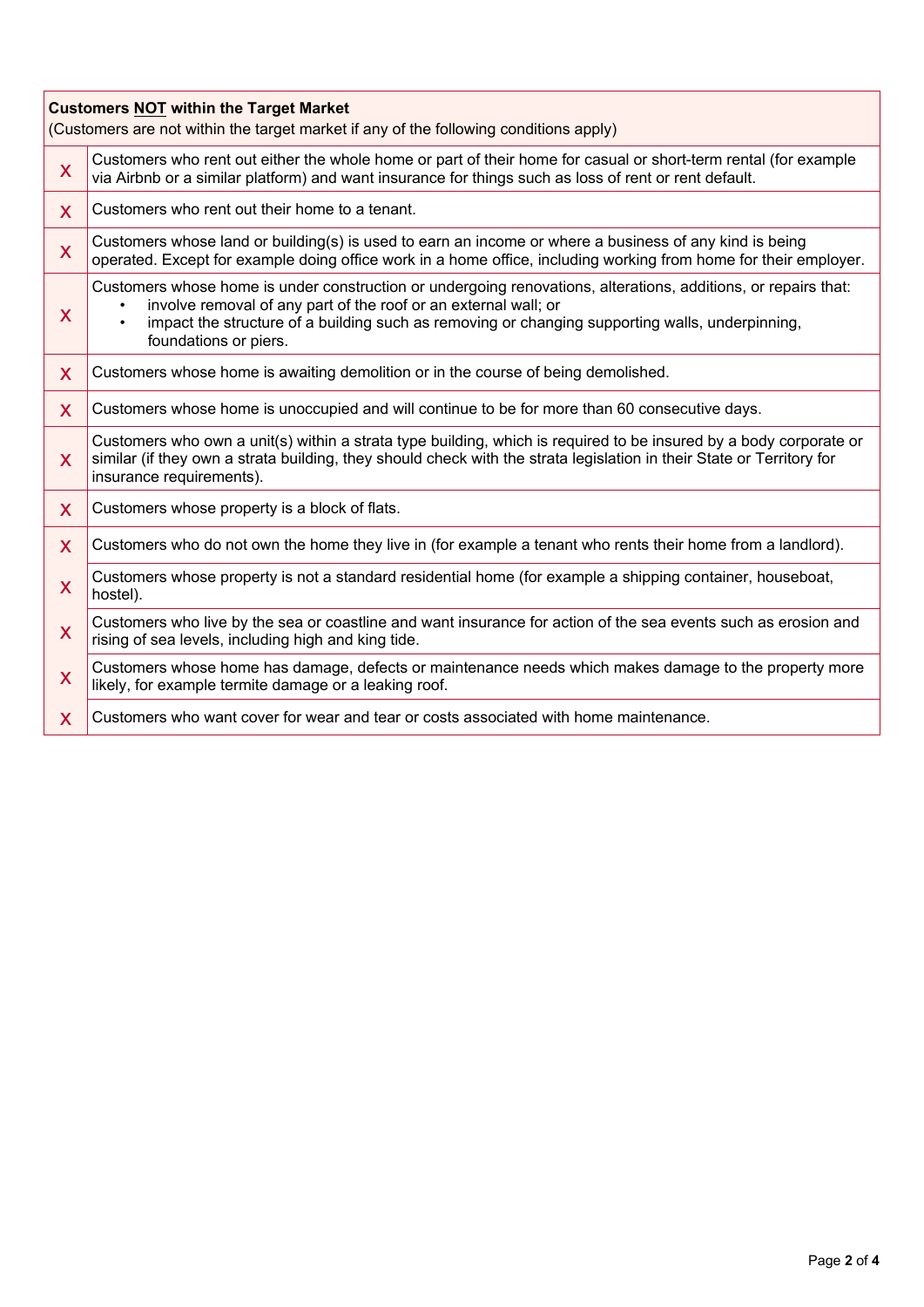| <b>Customers NOT within the Target Market</b><br>(Customers are not within the target market if any of the following conditions apply) |                                                                                                                                                                                                                                                                                                                            |  |  |
|----------------------------------------------------------------------------------------------------------------------------------------|----------------------------------------------------------------------------------------------------------------------------------------------------------------------------------------------------------------------------------------------------------------------------------------------------------------------------|--|--|
| X                                                                                                                                      | Customers who rent out either the whole home or part of their home for casual or short-term rental (for example<br>via Airbnb or a similar platform) and want insurance for things such as loss of rent or rent default.                                                                                                   |  |  |
| $\mathsf{X}$                                                                                                                           | Customers who rent out their home to a tenant.                                                                                                                                                                                                                                                                             |  |  |
| X                                                                                                                                      | Customers whose land or building(s) is used to earn an income or where a business of any kind is being<br>operated. Except for example doing office work in a home office, including working from home for their employer.                                                                                                 |  |  |
| X                                                                                                                                      | Customers whose home is under construction or undergoing renovations, alterations, additions, or repairs that:<br>involve removal of any part of the roof or an external wall; or<br>impact the structure of a building such as removing or changing supporting walls, underpinning,<br>$\bullet$<br>foundations or piers. |  |  |
| X                                                                                                                                      | Customers whose home is awaiting demolition or in the course of being demolished.                                                                                                                                                                                                                                          |  |  |
| X                                                                                                                                      | Customers whose home is unoccupied and will continue to be for more than 60 consecutive days.                                                                                                                                                                                                                              |  |  |
| X                                                                                                                                      | Customers who own a unit(s) within a strata type building, which is required to be insured by a body corporate or<br>similar (if they own a strata building, they should check with the strata legislation in their State or Territory for<br>insurance requirements).                                                     |  |  |
| $\mathsf{X}$                                                                                                                           | Customers whose property is a block of flats.                                                                                                                                                                                                                                                                              |  |  |
| X                                                                                                                                      | Customers who do not own the home they live in (for example a tenant who rents their home from a landlord).                                                                                                                                                                                                                |  |  |
| $\overline{\mathsf{X}}$                                                                                                                | Customers whose property is not a standard residential home (for example a shipping container, houseboat,<br>hostel).                                                                                                                                                                                                      |  |  |
| X                                                                                                                                      | Customers who live by the sea or coastline and want insurance for action of the sea events such as erosion and<br>rising of sea levels, including high and king tide.                                                                                                                                                      |  |  |
| X                                                                                                                                      | Customers whose home has damage, defects or maintenance needs which makes damage to the property more<br>likely, for example termite damage or a leaking roof.                                                                                                                                                             |  |  |
| $\mathsf{X}$                                                                                                                           | Customers who want cover for wear and tear or costs associated with home maintenance.                                                                                                                                                                                                                                      |  |  |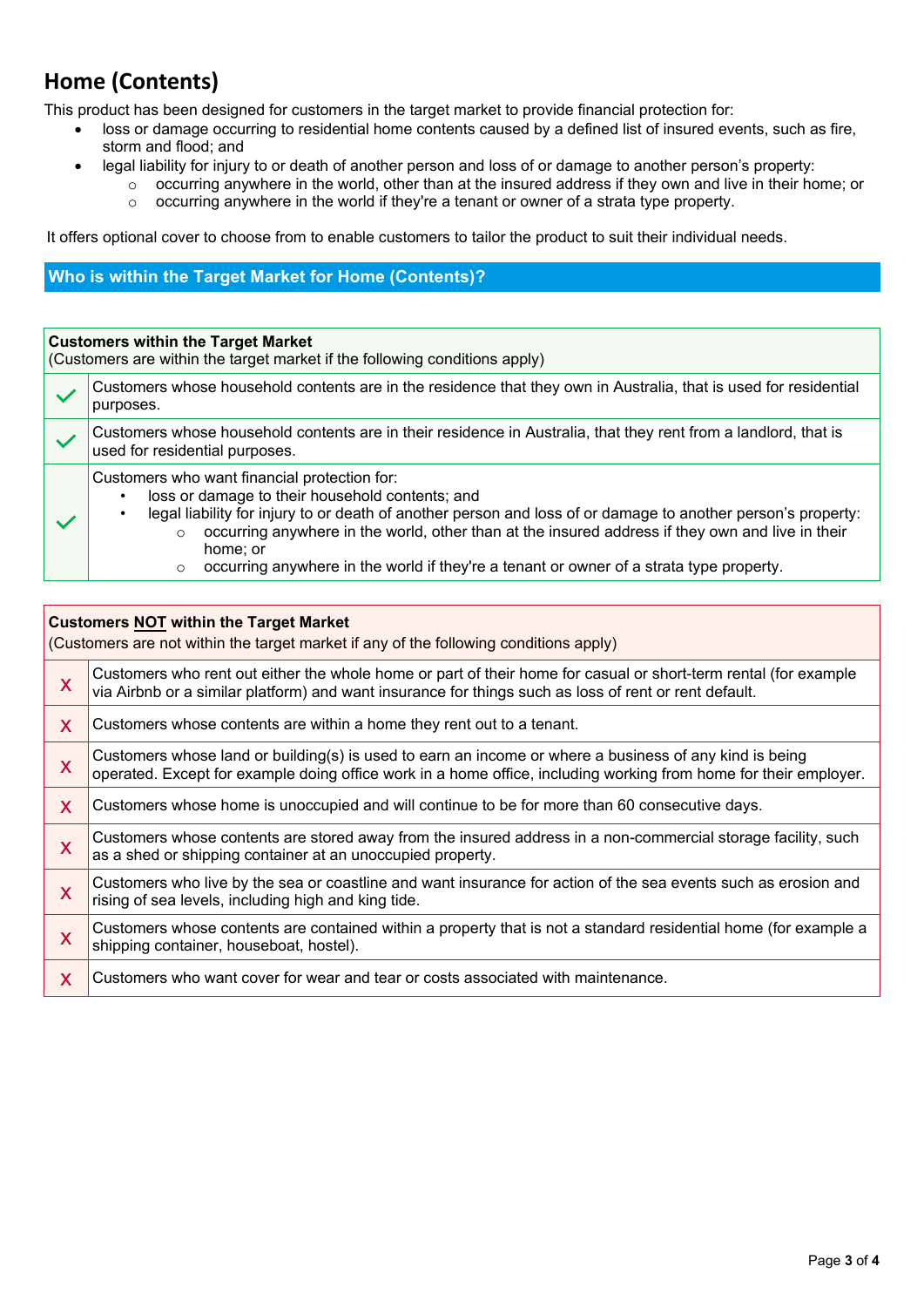### **Home (Contents)**

This product has been designed for customers in the target market to provide financial protection for:

- loss or damage occurring to residential home contents caused by a defined list of insured events, such as fire, storm and flood; and
- legal liability for injury to or death of another person and loss of or damage to another person's property:
	- o occurring anywhere in the world, other than at the insured address if they own and live in their home; or
		- o occurring anywhere in the world if they're a tenant or owner of a strata type property.

It offers optional cover to choose from to enable customers to tailor the product to suit their individual needs.

#### **Who is within the Target Market for Home (Contents)?**

#### **Customers within the Target Market**

(Customers are within the target market if the following conditions apply)

| Customers whose household contents are in the residence that they own in Australia, that is used for residential<br>purposes.                                                                                                                                                                                                                                                                                                                    |  |
|--------------------------------------------------------------------------------------------------------------------------------------------------------------------------------------------------------------------------------------------------------------------------------------------------------------------------------------------------------------------------------------------------------------------------------------------------|--|
| Customers whose household contents are in their residence in Australia, that they rent from a landlord, that is<br>used for residential purposes.                                                                                                                                                                                                                                                                                                |  |
| Customers who want financial protection for:<br>loss or damage to their household contents; and<br>legal liability for injury to or death of another person and loss of or damage to another person's property:<br>occurring anywhere in the world, other than at the insured address if they own and live in their<br>$\circ$<br>home; or<br>occurring anywhere in the world if they're a tenant or owner of a strata type property.<br>$\circ$ |  |

#### **Customers NOT within the Target Market**

(Customers are not within the target market if any of the following conditions apply)

| X                       | Customers who rent out either the whole home or part of their home for casual or short-term rental (for example<br>via Airbnb or a similar platform) and want insurance for things such as loss of rent or rent default.   |
|-------------------------|----------------------------------------------------------------------------------------------------------------------------------------------------------------------------------------------------------------------------|
| X                       | Customers whose contents are within a home they rent out to a tenant.                                                                                                                                                      |
| X                       | Customers whose land or building(s) is used to earn an income or where a business of any kind is being<br>operated. Except for example doing office work in a home office, including working from home for their employer. |
| X                       | Customers whose home is unoccupied and will continue to be for more than 60 consecutive days.                                                                                                                              |
| X                       | Customers whose contents are stored away from the insured address in a non-commercial storage facility, such<br>as a shed or shipping container at an unoccupied property.                                                 |
| X                       | Customers who live by the sea or coastline and want insurance for action of the sea events such as erosion and<br>rising of sea levels, including high and king tide.                                                      |
| $\overline{\mathsf{X}}$ | Customers whose contents are contained within a property that is not a standard residential home (for example a<br>shipping container, houseboat, hostel).                                                                 |
| X                       | Customers who want cover for wear and tear or costs associated with maintenance.                                                                                                                                           |